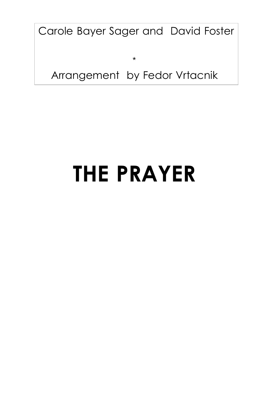Carole Bayer Sager and David Foster

\*

## Arrangement by Fedor Vrtacnik

# **THE PRAYER**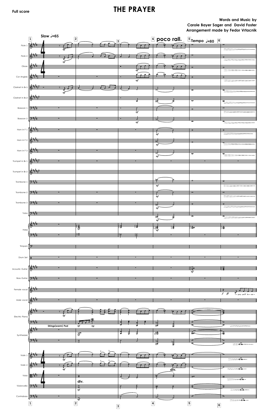## Full score **THE PRAYER**

### **Words and Music by Carole Bayer Sager and David Foster Arrangement made by Fedor Vrtacnik**

|                                  | $\boxed{1}$     | Slow $J=65$<br>$\boxed{2}$ |   | 3 |                          |                                      |   | $\boxed{4}$ poco rall. $\boxed{5}$ <sub>Tempo</sub> $_{50}$ $\boxed{6}$ |                                    |
|----------------------------------|-----------------|----------------------------|---|---|--------------------------|--------------------------------------|---|-------------------------------------------------------------------------|------------------------------------|
| Flute 1                          |                 | mf                         |   |   |                          |                                      |   |                                                                         |                                    |
| Flute 2                          |                 |                            |   |   |                          |                                      |   |                                                                         |                                    |
| Oboe                             |                 |                            |   |   | m f                      |                                      |   |                                                                         |                                    |
| Cor Anglais                      |                 |                            |   |   | $\it mf$                 |                                      |   |                                                                         |                                    |
| Clarinet in $B$ 1                |                 |                            |   |   |                          |                                      |   |                                                                         |                                    |
| Clarinet in $B\ni 2$             |                 |                            |   |   | ब्र                      | ١đ                                   |   | ব                                                                       | $\overline{\bullet}$               |
| Bassoon 1                        |                 |                            |   |   |                          |                                      |   |                                                                         |                                    |
| Bassoon 2                        | شيت و           |                            |   |   | m f                      |                                      |   |                                                                         |                                    |
| Horn in $F_1$                    |                 |                            |   |   | $\overline{\mathit{mf}}$ |                                      |   |                                                                         |                                    |
|                                  |                 |                            |   |   |                          | m f                                  |   |                                                                         |                                    |
| Horn in $F_2$                    |                 |                            |   |   |                          | ₩<br>m f                             |   |                                                                         |                                    |
| Horn in F 3                      |                 |                            |   |   |                          | m f                                  |   | $\overline{\sigma}$                                                     | $\sigma$                           |
| Trumpet in $B$ 1                 | 6               |                            |   |   |                          |                                      |   |                                                                         |                                    |
| Trumpet in $Bb$ 2                |                 |                            |   |   |                          |                                      |   |                                                                         |                                    |
| Trombone 1 $\frac{1}{2}$         |                 |                            |   |   |                          | $_{mf}$                              |   |                                                                         |                                    |
| Trombone 2 $\frac{1}{2}$         |                 |                            |   |   |                          | $\sigma$<br>$\overline{\mathit{mf}}$ |   | v                                                                       | Þ                                  |
| Trombone 3                       | <del>9:1,</del> |                            |   |   |                          |                                      |   |                                                                         |                                    |
| Tuba                             |                 |                            |   |   |                          | $m\widetilde{f}$<br>ाट़              |   |                                                                         |                                    |
|                                  |                 |                            | 幂 |   |                          | $m\tilde{f}$                         |   |                                                                         |                                    |
| Harp-                            |                 |                            |   |   |                          | 磚                                    | 得 | ' इैन                                                                   | † है                               |
| Timpani                          |                 |                            |   |   |                          |                                      |   |                                                                         |                                    |
|                                  |                 |                            |   |   |                          |                                      |   |                                                                         |                                    |
| Drum Set $\overline{\mathbf{H}}$ |                 |                            |   |   |                          |                                      |   |                                                                         |                                    |
| <b>Acoustic Guitar</b>           |                 |                            |   |   |                          |                                      |   | $\frac{1}{100}$<br>$\frac{1}{20}$                                       | ‡8                                 |
| <b>Bass Guitar</b>               | ᠫ᠅ᡏᡎᡟᡃ          |                            |   |   |                          |                                      |   |                                                                         |                                    |
| Female vocal                     |                 |                            |   |   |                          |                                      |   |                                                                         | $f$ ff<br>$I - \text{pray you'll}$ |
| Male voca                        |                 |                            |   |   |                          |                                      |   |                                                                         |                                    |

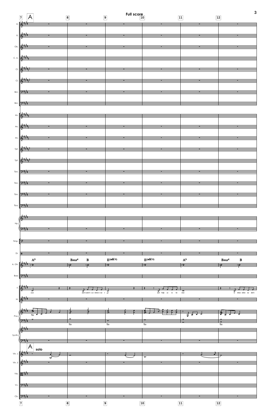|                       | $\overline{A}$<br>$\boxed{7}$                                                 |                                                          | $\boxed{8}$                                     |                                                                                                                         | $\overline{9}$ | Full score |                            |                             | $\boxed{11}$        | $\boxed{12}$ |                                                 | 3                      |
|-----------------------|-------------------------------------------------------------------------------|----------------------------------------------------------|-------------------------------------------------|-------------------------------------------------------------------------------------------------------------------------|----------------|------------|----------------------------|-----------------------------|---------------------|--------------|-------------------------------------------------|------------------------|
|                       | FI. $\mathbb{R}$<br>FL $\frac{1}{6}$                                          |                                                          |                                                 |                                                                                                                         |                |            |                            |                             |                     |              |                                                 |                        |
|                       | $\frac{2\frac{1}{2} + \frac{1}{2}}{2}$                                        |                                                          |                                                 | <u> The Communication of the Communication of the Communication of the Communication of the Communication of the Co</u> |                |            |                            |                             |                     |              |                                                 |                        |
|                       | C.A. $\frac{2+\frac{1}{2}}{\frac{1}{2}}$                                      | <u>and the second contract of the second contract of</u> |                                                 |                                                                                                                         |                |            |                            |                             |                     |              |                                                 |                        |
|                       | CI. <b>STAR</b>                                                               | $\blacksquare$                                           |                                                 | $\mathbf{u}$ , and $\mathbf{u}$ , and $\mathbf{u}$                                                                      |                |            |                            |                             |                     |              |                                                 |                        |
|                       | Cl. $\frac{2+\frac{1}{2}+\frac{1}{2}}{2}$                                     |                                                          |                                                 |                                                                                                                         |                |            |                            |                             |                     |              |                                                 |                        |
|                       | Bsn. <b>9:44</b>                                                              |                                                          |                                                 |                                                                                                                         |                |            |                            |                             |                     |              |                                                 |                        |
|                       | Bsn. 2 1                                                                      |                                                          |                                                 |                                                                                                                         |                |            |                            |                             |                     |              |                                                 |                        |
|                       | $\frac{1}{2}$ Hn. $\frac{2}{3}$                                               |                                                          |                                                 |                                                                                                                         |                |            |                            |                             |                     |              |                                                 |                        |
|                       | $Hn.$ $\frac{2}{3}$                                                           |                                                          |                                                 |                                                                                                                         |                |            |                            |                             |                     |              |                                                 |                        |
|                       | $Hn.$ $\frac{1}{2}$                                                           |                                                          |                                                 |                                                                                                                         |                |            |                            |                             |                     |              |                                                 |                        |
|                       | Tpt. 6 11                                                                     |                                                          |                                                 | ÷                                                                                                                       |                |            |                            |                             |                     |              |                                                 |                        |
| Tbn.                  | Tpt. $\left \frac{2+\frac{1}{2}}{\frac{1}{2}}\right =\frac{1}{2}$<br>بالتلالأ |                                                          |                                                 |                                                                                                                         |                |            |                            |                             |                     |              |                                                 |                        |
| Tbn.                  | <u> ੭ੇ∺ਜ਼ਾਂਭ</u>                                                              |                                                          |                                                 |                                                                                                                         |                |            |                            |                             |                     |              |                                                 |                        |
| Tbn.                  | ドグジャマ                                                                         |                                                          |                                                 |                                                                                                                         |                |            |                            |                             |                     |              |                                                 |                        |
| Tba.                  | <del>الية ترك</del> ا                                                         |                                                          |                                                 |                                                                                                                         |                |            |                            |                             |                     |              |                                                 |                        |
|                       |                                                                               |                                                          |                                                 |                                                                                                                         |                |            |                            |                             |                     |              |                                                 |                        |
| Hp.                   | نزد                                                                           |                                                          |                                                 |                                                                                                                         |                |            |                            |                             |                     |              |                                                 |                        |
| Timp.                 |                                                                               |                                                          |                                                 |                                                                                                                         |                |            |                            |                             |                     |              |                                                 |                        |
| Dr. $\mathbf{H}$      |                                                                               |                                                          |                                                 |                                                                                                                         |                |            |                            |                             |                     |              |                                                 |                        |
| A. Gtr. $\frac{1}{2}$ | $\mathbf{A}^9$                                                                |                                                          | $\mathbf{B} \mathbf{s} \mathbf{u} \mathbf{s}^4$ | $\bf{B}$<br>70                                                                                                          | $E$ (add 9)    |            | $\mathbf{E}(\text{add }9)$ |                             | $\mathbf{A}^9$<br>€ |              | $\mathbf{B} \mathbf{s} \mathbf{u} \mathbf{s}^4$ | $\, {\bf B}$           |
| Bass                  | $9 - 3$                                                                       |                                                          |                                                 |                                                                                                                         |                |            |                            |                             |                     |              |                                                 |                        |
|                       | F.K                                                                           | $\overline{\cdot}$                                       | $\equiv$ $\overline{r}$                         | $\overrightarrow{a}$<br>and-watch - us - where - we - go                                                                |                |            |                            | $\frac{1}{\pi}$ and help us |                     |              |                                                 |                        |
|                       | $_{\rm eyes}$                                                                 |                                                          |                                                 |                                                                                                                         |                |            |                            | to<br>be                    | wise                |              |                                                 | in times when we don't |